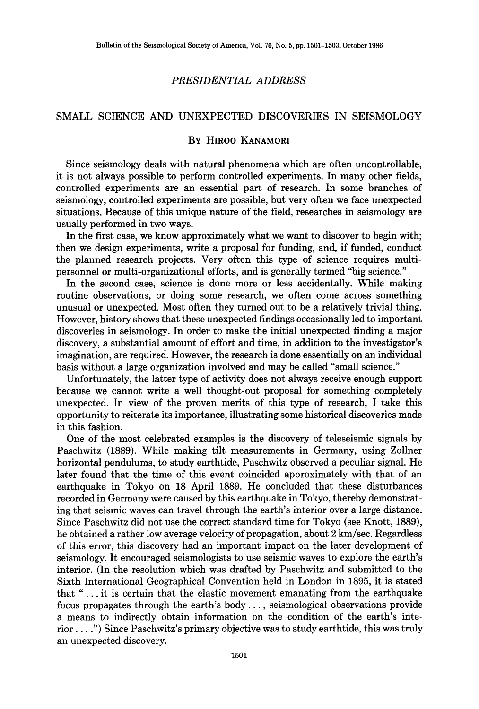## *PRESIDENTIAL ADDRESS*

## SMALL SCIENCE AND UNEXPECTED DISCOVERIES IN SEISMOLOGY

## BY HIRO0 KANAMORI

Since seismology deals with natural phenomena which are often uncontrollable, it is not always possible to perform controlled experiments. In many other fields, controlled experiments are an essential part of research. In some branches of seismology, controlled experiments are possible, but very often we face unexpected situations. Because of this unique nature of the field, researches in seismology are usually performed in two ways.

In the first case, we know approximately what we want to discover to begin with; then we design experiments, write a proposal for funding, and, if funded, conduct the planned research projects. Very often this type of science requires multipersonnel or multi-organizational efforts, and is generally termed "big science."

In the second case, science is done more or less accidentally. While making routine observations, or doing some research, we often come across something unusual or unexpected. Most often they turned out to be a relatively trivial thing. However, history shows that these unexpected findings occasionally led to important discoveries in seismology. In order to make the initial unexpected finding a major discovery, a substantial amount of effort and time, in addition to the investigator's imagination, are required. However, the research is done essentially on an individual basis without a large organization involved and may be called "small science."

Unfortunately, the latter type of activity does not always receive enough support because we cannot write a well thought-out proposal for something completely unexpected. In view of the proven merits of this type of research, I take this opportunity to reiterate its importance, illustrating some historical discoveries made in this fashion.

One of the most celebrated examples is the discovery of teleseismic signals by Paschwitz (1889). While making tilt measurements in Germany, using Zollner horizontal pendulums, to study earthtide, Paschwitz observed a peculiar signal. He later found that the time of this event coincided approximately with that of an earthquake in Tokyo on 18 April 1889. He concluded that these disturbances recorded in Germany were caused by this earthquake in Tokyo, thereby demonstrating that seismic waves can travel through the earth's interior over a large distance. Since Paschwitz did not use the correct standard time for Tokyo (see Knott, 1889), he obtained a rather low average velocity of propagation, about 2 km/sec. Regardless of this error, this discovery had an important impact on the later development of seismology. It encouraged seismologists to use seismic waves to explore the earth's interior. (In the resolution which was drafted by Paschwitz and submitted to the Sixth International Geographical Convention held in London in 1895, it is stated that " ... it is certain that the elastic movement emanating from the earthquake focus propagates through the earth's body .... seismological observations provide a means to indirectly obtain information on the condition of the earth's interior .... ") Since Paschwitz's primary objective was to study earthtide, this was truly an unexpected discovery.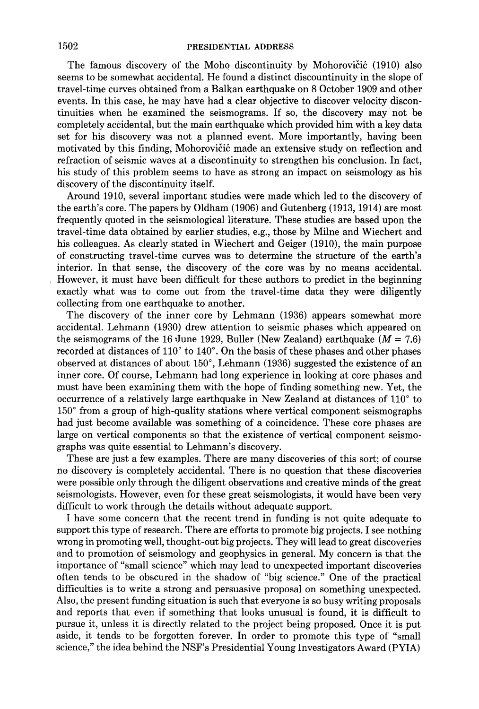The famous discovery of the Moho discontinuity by Mohorovičić (1910) also seems to be somewhat accidental. He found a distinct discountinuity in the slope of travel-time curves obtained from a Balkan earthquake on 8 October 1909 and other events. In this case, he may have had a clear objective to discover velocity discontinuities when he examined the seismograms. If so, the discovery may not be completely accidental, but the main earthquake which provided him with a key data set for his discovery was not a planned event. More importantly, having been motivated by this finding, Mohorovičić made an extensive study on reflection and refraction of seismic waves at a discontinuity to strengthen his conclusion. In fact, his study of this problem seems to have as strong an impact on seismology as his discovery of the discontinuity itself.

Around 1910, several important studies were made which led to the discovery of the earth's core. The papers by Oldham (1906) and Gutenberg (1913, 1914) are most frequently quoted in the seismological literature. These studies are based upon the travel-time data obtained by earlier studies, e.g., those by Milne and Wiechert and his colleagues. As clearly stated in Wiechert and Geiger (1910), the main purpose of constructing travel-time curves was to determine the structure of the earth's interior. In that sense, the discovery of the core was by no means accidental. However, it must have been difficult for these authors to predict in the beginning exactly what was to come out from the travel-time data they were diligently collecting from one earthquake to another.

The discovery of the inner core by Lehmann (1936) appears somewhat more accidental. Lehmann (1930) drew attention to seismic phases which appeared on the seismograms of the 16 June 1929, Buller (New Zealand) earthquake ( $M = 7.6$ ) recorded at distances of  $110^{\circ}$  to  $140^{\circ}$ . On the basis of these phases and other phases observed at distances of about 150°, Lehmann (1936) suggested the existence of an inner core. Of course, Lehmann had long experience in looking at core phases and must have been examining them with the hope of finding something new. Yet, the occurrence of a relatively large earthquake in New Zealand at distances of 110° to 150 ° from a group of high-quality stations where vertical component seismographs had just become available was something of a coincidence. These core phases are large on vertical components so that the existence of vertical component seismographs was quite essential to Lehmann's discovery.

These are just a few examples. There are many discoveries of this sort; of course no discovery is completely accidental. There is no question that these discoveries were possible only through the diligent observations and creative minds of the great seismologists. However, even for these great seismologists, it would have been very difficult to work through the details without adequate support.

I have some concern that the recent trend in funding is not quite adequate to support this type of research. There are efforts to promote big projects. I see nothing wrong in promoting well, thought-out big projects. They will lead to great discoveries and to promotion of seismology and geophysics in general. My concern is that the importance of "small science" which may lead to unexpected important discoveries often tends to be obscured in the shadow of "big science." One of the practical difficulties is to write a strong and persuasive proposal on something unexpected. Also, the present funding situation is such that everyone is so busy writing proposals and reports that even if something that looks unusual is found, it is difficult to pursue it, unless it is directly related to the project being proposed. Once it is put aside, it tends to be forgotten forever. In order to promote this type of "small science," the idea behind the NSF's Presidential Young Investigators Award (PYIA)